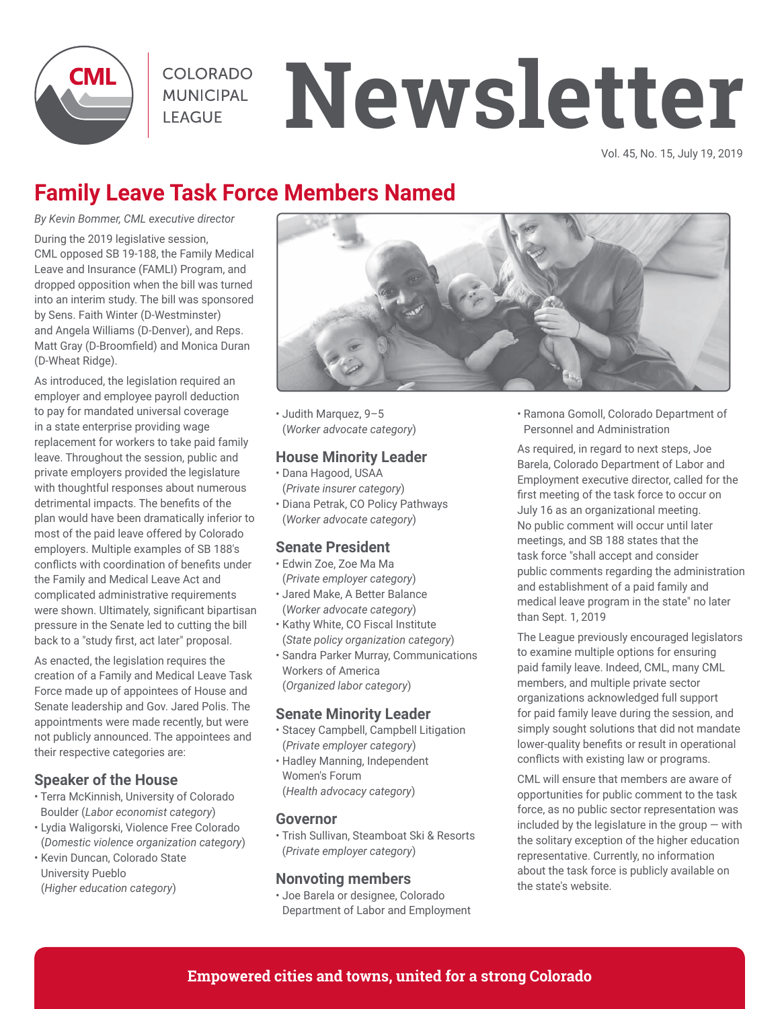

# **MUNICIPAL NewSletter**

Vol. 45, No. 15, July 19, 2019

# **Family Leave Task Force Members Named**

*By Kevin Bommer, CML executive director*

During the 2019 legislative session, CML opposed SB 19-188, the Family Medical Leave and Insurance (FAMLI) Program, and dropped opposition when the bill was turned into an interim study. The bill was sponsored by Sens. Faith Winter (D-Westminster) and Angela Williams (D-Denver), and Reps. Matt Gray (D-Broomfield) and Monica Duran (D-Wheat Ridge).

As introduced, the legislation required an employer and employee payroll deduction to pay for mandated universal coverage in a state enterprise providing wage replacement for workers to take paid family leave. Throughout the session, public and private employers provided the legislature with thoughtful responses about numerous detrimental impacts. The benefits of the plan would have been dramatically inferior to most of the paid leave offered by Colorado employers. Multiple examples of SB 188's conflicts with coordination of benefits under the Family and Medical Leave Act and complicated administrative requirements were shown. Ultimately, significant bipartisan pressure in the Senate led to cutting the bill back to a "study first, act later" proposal.

As enacted, the legislation requires the creation of a Family and Medical Leave Task Force made up of appointees of House and Senate leadership and Gov. Jared Polis. The appointments were made recently, but were not publicly announced. The appointees and their respective categories are:

#### **Speaker of the House**

- Terra McKinnish, University of Colorado Boulder (*Labor economist category*)
- Lydia Waligorski, Violence Free Colorado (*Domestic violence organization category*)
- Kevin Duncan, Colorado State University Pueblo (*Higher education category*)



• Judith Marquez, 9–5 (*Worker advocate category*)

#### **House Minority Leader**

- Dana Hagood, USAA (*Private insurer category*)
- Diana Petrak, CO Policy Pathways (*Worker advocate category*)

#### **Senate President**

- Edwin Zoe, Zoe Ma Ma (*Private employer category*)
- Jared Make, A Better Balance (*Worker advocate category*)
- Kathy White, CO Fiscal Institute (*State policy organization category*)
- Sandra Parker Murray, Communications Workers of America (*Organized labor category*)

#### **Senate Minority Leader**

- Stacey Campbell, Campbell Litigation (*Private employer category*)
- Hadley Manning, Independent Women's Forum (*Health advocacy category*)

#### **Governor**

• Trish Sullivan, Steamboat Ski & Resorts (*Private employer category*)

#### **Nonvoting members**

• Joe Barela or designee, Colorado Department of Labor and Employment • Ramona Gomoll, Colorado Department of Personnel and Administration

As required, in regard to next steps, Joe Barela, Colorado Department of Labor and Employment executive director, called for the first meeting of the task force to occur on July 16 as an organizational meeting. No public comment will occur until later meetings, and SB 188 states that the task force "shall accept and consider public comments regarding the administration and establishment of a paid family and medical leave program in the state" no later than Sept. 1, 2019

The League previously encouraged legislators to examine multiple options for ensuring paid family leave. Indeed, CML, many CML members, and multiple private sector organizations acknowledged full support for paid family leave during the session, and simply sought solutions that did not mandate lower-quality benefits or result in operational conflicts with existing law or programs.

CML will ensure that members are aware of opportunities for public comment to the task force, as no public sector representation was included by the legislature in the group  $-$  with the solitary exception of the higher education representative. Currently, no information about the task force is publicly available on the state's website.

#### **Empowered cities and towns, united for a strong Colorado**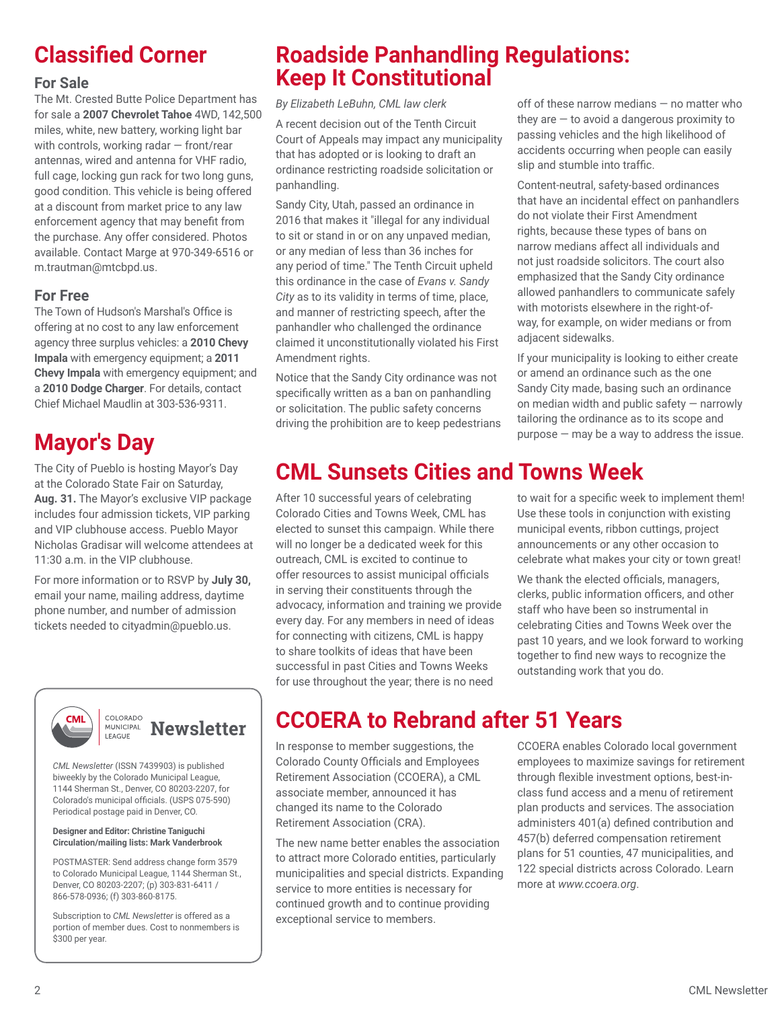# **Classified Corner**

The Mt. Crested Butte Police Department has for sale a **2007 Chevrolet Tahoe** 4WD, 142,500 miles, white, new battery, working light bar with controls, working radar — front/rear antennas, wired and antenna for VHF radio, full cage, locking gun rack for two long guns, good condition. This vehicle is being offered at a discount from market price to any law enforcement agency that may benefit from the purchase. Any offer considered. Photos available. Contact Marge at 970-349-6516 or m.trautman@mtcbpd.us.

#### **For Free**

The Town of Hudson's Marshal's Office is offering at no cost to any law enforcement agency three surplus vehicles: a **2010 Chevy Impala** with emergency equipment; a **2011 Chevy Impala** with emergency equipment; and a **2010 Dodge Charger**. For details, contact Chief Michael Maudlin at 303-536-9311.

# **Mayor's Day**

at the Colorado State Fair on Saturday, **Aug. 31.** The Mayor's exclusive VIP package includes four admission tickets, VIP parking and VIP clubhouse access. Pueblo Mayor Nicholas Gradisar will welcome attendees at 11:30 a.m. in the VIP clubhouse.

For more information or to RSVP by **July 30,**  email your name, mailing address, daytime phone number, and number of admission tickets needed to cityadmin@pueblo.us.



*CML Newsletter* (ISSN 7439903) is published biweekly by the Colorado Municipal League, 1144 Sherman St., Denver, CO 80203-2207, for

#### **Designer and Editor: Christine Taniguchi Circulation/mailing lists: Mark Vanderbrook**

Colorado's municipal officials. (USPS 075-590) Periodical postage paid in Denver, CO.

POSTMASTER: Send address change form 3579 to Colorado Municipal League, 1144 Sherman St., Denver, CO 80203-2207; (p) 303-831-6411 / 866-578-0936; (f) 303-860-8175.

Subscription to *CML Newsletter* is offered as a portion of member dues. Cost to nonmembers is \$300 per year.

# **Roadside Panhandling Regulations: For Sale Keep It Constitutional**

*By Elizabeth LeBuhn, CML law clerk*

A recent decision out of the Tenth Circuit Court of Appeals may impact any municipality that has adopted or is looking to draft an ordinance restricting roadside solicitation or panhandling.

Sandy City, Utah, passed an ordinance in 2016 that makes it "illegal for any individual to sit or stand in or on any unpaved median, or any median of less than 36 inches for any period of time." The Tenth Circuit upheld this ordinance in the case of *Evans v. Sandy City* as to its validity in terms of time, place, and manner of restricting speech, after the panhandler who challenged the ordinance claimed it unconstitutionally violated his First Amendment rights.

Notice that the Sandy City ordinance was not specifically written as a ban on panhandling or solicitation. The public safety concerns driving the prohibition are to keep pedestrians off of these narrow medians — no matter who they are  $-$  to avoid a dangerous proximity to passing vehicles and the high likelihood of accidents occurring when people can easily slip and stumble into traffic.

Content-neutral, safety-based ordinances that have an incidental effect on panhandlers do not violate their First Amendment rights, because these types of bans on narrow medians affect all individuals and not just roadside solicitors. The court also emphasized that the Sandy City ordinance allowed panhandlers to communicate safely with motorists elsewhere in the right-ofway, for example, on wider medians or from adjacent sidewalks.

If your municipality is looking to either create or amend an ordinance such as the one Sandy City made, basing such an ordinance on median width and public safety — narrowly tailoring the ordinance as to its scope and purpose — may be a way to address the issue.

# The City of Pueblo is hosting Mayor's Day **CML Sunsets Cities and Towns Week**

After 10 successful years of celebrating Colorado Cities and Towns Week, CML has elected to sunset this campaign. While there will no longer be a dedicated week for this outreach, CML is excited to continue to offer resources to assist municipal officials in serving their constituents through the advocacy, information and training we provide every day. For any members in need of ideas for connecting with citizens, CML is happy to share toolkits of ideas that have been successful in past Cities and Towns Weeks for use throughout the year; there is no need

to wait for a specific week to implement them! Use these tools in conjunction with existing municipal events, ribbon cuttings, project announcements or any other occasion to celebrate what makes your city or town great!

We thank the elected officials, managers, clerks, public information officers, and other staff who have been so instrumental in celebrating Cities and Towns Week over the past 10 years, and we look forward to working together to find new ways to recognize the outstanding work that you do.

# **CCOERA to Rebrand after 51 Years**

In response to member suggestions, the Colorado County Officials and Employees Retirement Association (CCOERA), a CML associate member, announced it has changed its name to the Colorado Retirement Association (CRA).

The new name better enables the association to attract more Colorado entities, particularly municipalities and special districts. Expanding service to more entities is necessary for continued growth and to continue providing exceptional service to members.

CCOERA enables Colorado local government employees to maximize savings for retirement through flexible investment options, best-inclass fund access and a menu of retirement plan products and services. The association administers 401(a) defined contribution and 457(b) deferred compensation retirement plans for 51 counties, 47 municipalities, and 122 special districts across Colorado. Learn more at *www.ccoera.org*.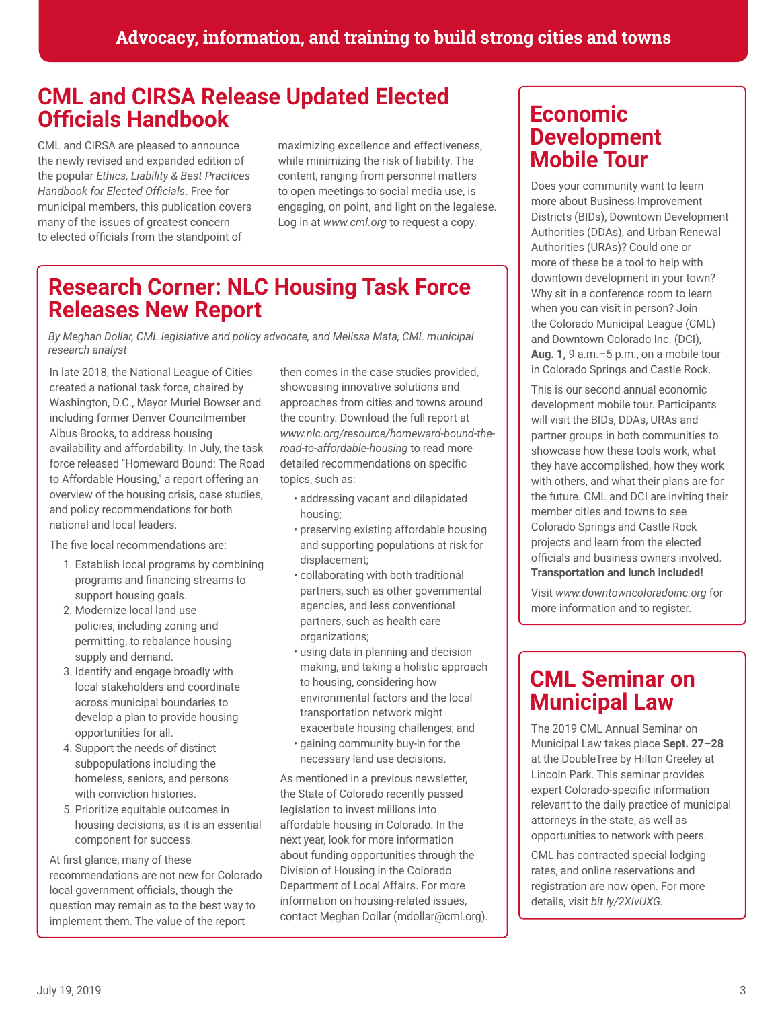# **CML and CIRSA Release Updated Elected Officials Handbook**

CML and CIRSA are pleased to announce the newly revised and expanded edition of the popular *Ethics, Liability & Best Practices Handbook for Elected Officials*. Free for municipal members, this publication covers many of the issues of greatest concern to elected officials from the standpoint of

maximizing excellence and effectiveness, while minimizing the risk of liability. The content, ranging from personnel matters to open meetings to social media use, is engaging, on point, and light on the legalese. Log in at *www.cml.org* to request a copy.

# **Research Corner: NLC Housing Task Force Releases New Report**

*By Meghan Dollar, CML legislative and policy advocate, and Melissa Mata, CML municipal research analyst*

In late 2018, the National League of Cities created a national task force, chaired by Washington, D.C., Mayor Muriel Bowser and including former Denver Councilmember Albus Brooks, to address housing availability and affordability. In July, the task force released "Homeward Bound: The Road to Affordable Housing," a report offering an overview of the housing crisis, case studies, and policy recommendations for both national and local leaders.

The five local recommendations are:

- 1. Establish local programs by combining programs and financing streams to support housing goals.
- 2. Modernize local land use policies, including zoning and permitting, to rebalance housing supply and demand.
- 3. Identify and engage broadly with local stakeholders and coordinate across municipal boundaries to develop a plan to provide housing opportunities for all.
- 4. Support the needs of distinct subpopulations including the homeless, seniors, and persons with conviction histories.
- 5. Prioritize equitable outcomes in housing decisions, as it is an essential component for success.

At first glance, many of these recommendations are not new for Colorado local government officials, though the question may remain as to the best way to implement them. The value of the report

then comes in the case studies provided, showcasing innovative solutions and approaches from cities and towns around the country. Download the full report at *www.nlc.org/resource/homeward-bound-theroad-to-affordable-housing* to read more detailed recommendations on specific topics, such as:

- addressing vacant and dilapidated housing;
- preserving existing affordable housing and supporting populations at risk for displacement;
- collaborating with both traditional partners, such as other governmental agencies, and less conventional partners, such as health care organizations;
- using data in planning and decision making, and taking a holistic approach to housing, considering how environmental factors and the local transportation network might exacerbate housing challenges; and
- gaining community buy-in for the necessary land use decisions.

As mentioned in a previous newsletter, the State of Colorado recently passed legislation to invest millions into affordable housing in Colorado. In the next year, look for more information about funding opportunities through the Division of Housing in the Colorado Department of Local Affairs. For more information on housing-related issues, contact Meghan Dollar (mdollar@cml.org).

# **Economic Development Mobile Tour**

Does your community want to learn more about Business Improvement Districts (BIDs), Downtown Development Authorities (DDAs), and Urban Renewal Authorities (URAs)? Could one or more of these be a tool to help with downtown development in your town? Why sit in a conference room to learn when you can visit in person? Join the Colorado Municipal League (CML) and Downtown Colorado Inc. (DCI), **Aug. 1,** 9 a.m.–5 p.m., on a mobile tour in Colorado Springs and Castle Rock.

This is our second annual economic development mobile tour. Participants will visit the BIDs, DDAs, URAs and partner groups in both communities to showcase how these tools work, what they have accomplished, how they work with others, and what their plans are for the future. CML and DCI are inviting their member cities and towns to see Colorado Springs and Castle Rock projects and learn from the elected officials and business owners involved. **Transportation and lunch included!**

Visit *www.downtowncoloradoinc.org* for more information and to register.

# **CML Seminar on Municipal Law**

The 2019 CML Annual Seminar on Municipal Law takes place **Sept. 27–28** at the DoubleTree by Hilton Greeley at Lincoln Park. This seminar provides expert Colorado-specific information relevant to the daily practice of municipal attorneys in the state, as well as opportunities to network with peers.

CML has contracted special lodging rates, and online reservations and registration are now open. For more details, visit *bit.ly/2XIvUXG.*